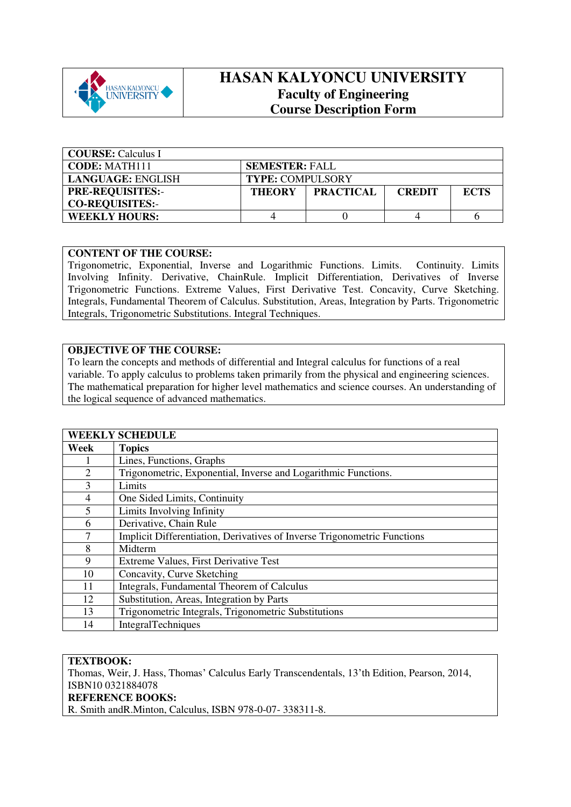

# **HASAN KALYONCU UNIVERSITY Faculty of Engineering Course Description Form**

| <b>COURSE:</b> Calculus I |                         |                  |               |             |
|---------------------------|-------------------------|------------------|---------------|-------------|
| <b>CODE: MATH111</b>      | <b>SEMESTER: FALL</b>   |                  |               |             |
| LANGUAGE: ENGLISH         | <b>TYPE: COMPULSORY</b> |                  |               |             |
| <b>PRE-REQUISITES:-</b>   | <b>THEORY</b>           | <b>PRACTICAL</b> | <b>CREDIT</b> | <b>ECTS</b> |
| <b>CO-REQUISITES:-</b>    |                         |                  |               |             |
| <b>WEEKLY HOURS:</b>      |                         |                  |               |             |

## **CONTENT OF THE COURSE:**

Trigonometric, Exponential, Inverse and Logarithmic Functions. Limits. Continuity. Limits Involving Infinity. Derivative, ChainRule. Implicit Differentiation, Derivatives of Inverse Trigonometric Functions. Extreme Values, First Derivative Test. Concavity, Curve Sketching. Integrals, Fundamental Theorem of Calculus. Substitution, Areas, Integration by Parts. Trigonometric Integrals, Trigonometric Substitutions. Integral Techniques.

## **OBJECTIVE OF THE COURSE:**

To learn the concepts and methods of differential and Integral calculus for functions of a real variable. To apply calculus to problems taken primarily from the physical and engineering sciences. The mathematical preparation for higher level mathematics and science courses. An understanding of the logical sequence of advanced mathematics.

|                | <b>WEEKLY SCHEDULE</b>                                                   |
|----------------|--------------------------------------------------------------------------|
| Week           | <b>Topics</b>                                                            |
|                | Lines, Functions, Graphs                                                 |
| $\mathfrak{D}$ | Trigonometric, Exponential, Inverse and Logarithmic Functions.           |
| 3              | Limits                                                                   |
| 4              | One Sided Limits, Continuity                                             |
| 5              | Limits Involving Infinity                                                |
| 6              | Derivative, Chain Rule                                                   |
| 7              | Implicit Differentiation, Derivatives of Inverse Trigonometric Functions |
| 8              | Midterm                                                                  |
| 9              | Extreme Values, First Derivative Test                                    |
| 10             | Concavity, Curve Sketching                                               |
| 11             | Integrals, Fundamental Theorem of Calculus                               |
| 12             | Substitution, Areas, Integration by Parts                                |
| 13             | Trigonometric Integrals, Trigonometric Substitutions                     |
| 14             | <b>IntegralTechniques</b>                                                |

## **TEXTBOOK:**

Thomas, Weir, J. Hass, Thomas' Calculus Early Transcendentals, 13'th Edition, Pearson, 2014, ISBN10 0321884078

#### **REFERENCE BOOKS:**

R. Smith andR.Minton, Calculus, ISBN 978-0-07- 338311-8.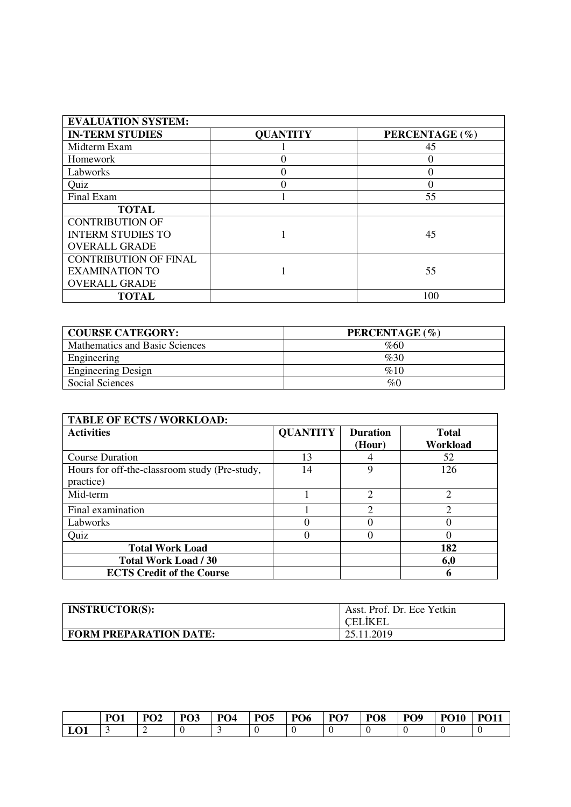| <b>EVALUATION SYSTEM:</b>    |                 |                |
|------------------------------|-----------------|----------------|
| <b>IN-TERM STUDIES</b>       | <b>QUANTITY</b> | PERCENTAGE (%) |
| Midterm Exam                 |                 | 45             |
| Homework                     |                 | $\theta$       |
| Labworks                     |                 | 0              |
| Quiz                         | 0               |                |
| Final Exam                   |                 | 55             |
| <b>TOTAL</b>                 |                 |                |
| <b>CONTRIBUTION OF</b>       |                 |                |
| <b>INTERM STUDIES TO</b>     |                 | 45             |
| <b>OVERALL GRADE</b>         |                 |                |
| <b>CONTRIBUTION OF FINAL</b> |                 |                |
| <b>EXAMINATION TO</b>        |                 | 55             |
| <b>OVERALL GRADE</b>         |                 |                |
| <b>TOTAL</b>                 |                 | 100            |

| <b>COURSE CATEGORY:</b>        | PERCENTAGE (%) |
|--------------------------------|----------------|
| Mathematics and Basic Sciences | %60            |
| Engineering                    | %30            |
| <b>Engineering Design</b>      | %10            |
| Social Sciences                | $\%0$          |

| <b>TABLE OF ECTS / WORKLOAD:</b>                           |                 |                             |                          |
|------------------------------------------------------------|-----------------|-----------------------------|--------------------------|
| <b>Activities</b>                                          | <b>QUANTITY</b> | <b>Duration</b><br>(Hour)   | <b>Total</b><br>Workload |
| <b>Course Duration</b>                                     | 13              |                             | 52                       |
| Hours for off-the-classroom study (Pre-study,<br>practice) | 14              | 9                           | 126                      |
| Mid-term                                                   |                 | $\mathcal{D}_{\mathcal{L}}$ | $\mathfrak{D}$           |
| Final examination                                          |                 | ⌒                           | ↑                        |
| Labworks                                                   |                 |                             |                          |
| Quiz                                                       |                 |                             |                          |
| <b>Total Work Load</b>                                     |                 |                             | 182                      |
| <b>Total Work Load / 30</b>                                |                 |                             | 6,0                      |
| <b>ECTS Credit of the Course</b>                           |                 |                             | 6                        |

| <b>INSTRUCTOR(S):</b>         | Asst. Prof. Dr. Ece Yetkin<br><b>CELIKEL</b> |
|-------------------------------|----------------------------------------------|
| <b>FORM PREPARATION DATE:</b> | 25.11.2019                                   |

|     | $\mathbf{D}\boldsymbol{\Omega}$<br><u>vi</u> | $\mathbf{D}\boldsymbol{\Omega}$ | PO <sub>3</sub> | PO <sub>4</sub> | PO <sub>5</sub> | PO <sub>6</sub> | PO <sub>7</sub> | PO <sub>8</sub> | PO <sub>9</sub> | <b>PO10</b> | <b>PO11</b> |
|-----|----------------------------------------------|---------------------------------|-----------------|-----------------|-----------------|-----------------|-----------------|-----------------|-----------------|-------------|-------------|
| LO1 |                                              |                                 |                 |                 | ◡               |                 |                 |                 |                 |             |             |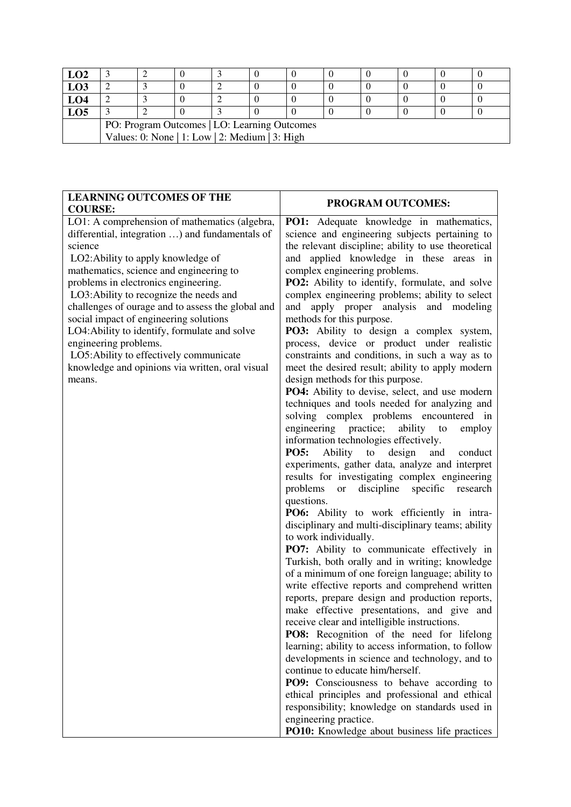| LO <sub>2</sub> |                                                |  |  |  |  |  |  |  |  |
|-----------------|------------------------------------------------|--|--|--|--|--|--|--|--|
| <b>LO3</b>      |                                                |  |  |  |  |  |  |  |  |
| LO4             |                                                |  |  |  |  |  |  |  |  |
| LO5             |                                                |  |  |  |  |  |  |  |  |
|                 | PO: Program Outcomes   LO: Learning Outcomes   |  |  |  |  |  |  |  |  |
|                 | Values: 0: None   1: Low   2: Medium   3: High |  |  |  |  |  |  |  |  |

| <b>LEARNING OUTCOMES OF THE</b><br><b>COURSE:</b>                                                                                                                                                                                                                                                                                                                                                                                                                                                                                                                | <b>PROGRAM OUTCOMES:</b>                                                                                                                                                                                                                                                                                                                                                                                                                                                                                                                                                                                                                                                                                                                                                                                                                                                                                                                                                                                                                                                                                                                                                                                                                                                                                                                                                                                                                                                                                                                                                                                                                                                                                                                                                                                                                                                                                                                                                                                                                                     |
|------------------------------------------------------------------------------------------------------------------------------------------------------------------------------------------------------------------------------------------------------------------------------------------------------------------------------------------------------------------------------------------------------------------------------------------------------------------------------------------------------------------------------------------------------------------|--------------------------------------------------------------------------------------------------------------------------------------------------------------------------------------------------------------------------------------------------------------------------------------------------------------------------------------------------------------------------------------------------------------------------------------------------------------------------------------------------------------------------------------------------------------------------------------------------------------------------------------------------------------------------------------------------------------------------------------------------------------------------------------------------------------------------------------------------------------------------------------------------------------------------------------------------------------------------------------------------------------------------------------------------------------------------------------------------------------------------------------------------------------------------------------------------------------------------------------------------------------------------------------------------------------------------------------------------------------------------------------------------------------------------------------------------------------------------------------------------------------------------------------------------------------------------------------------------------------------------------------------------------------------------------------------------------------------------------------------------------------------------------------------------------------------------------------------------------------------------------------------------------------------------------------------------------------------------------------------------------------------------------------------------------------|
| LO1: A comprehension of mathematics (algebra,<br>differential, integration ) and fundamentals of<br>science<br>LO2: Ability to apply knowledge of<br>mathematics, science and engineering to<br>problems in electronics engineering.<br>LO3: Ability to recognize the needs and<br>challenges of ourage and to assess the global and<br>social impact of engineering solutions<br>LO4: Ability to identify, formulate and solve<br>engineering problems.<br>LO5: Ability to effectively communicate<br>knowledge and opinions via written, oral visual<br>means. | <b>PO1:</b> Adequate knowledge in mathematics,<br>science and engineering subjects pertaining to<br>the relevant discipline; ability to use theoretical<br>and applied knowledge in these areas in<br>complex engineering problems.<br>PO2: Ability to identify, formulate, and solve<br>complex engineering problems; ability to select<br>apply proper analysis and modeling<br>and<br>methods for this purpose.<br>PO3: Ability to design a complex system,<br>process, device or product under realistic<br>constraints and conditions, in such a way as to<br>meet the desired result; ability to apply modern<br>design methods for this purpose.<br>PO4: Ability to devise, select, and use modern<br>techniques and tools needed for analyzing and<br>solving complex problems encountered in<br>engineering practice;<br>ability<br>to<br>employ<br>information technologies effectively.<br><b>PO5:</b><br>Ability to<br>design<br>and<br>conduct<br>experiments, gather data, analyze and interpret<br>results for investigating complex engineering<br>discipline<br>problems<br>specific<br>research<br><b>or</b><br>questions.<br>PO6: Ability to work efficiently in intra-<br>disciplinary and multi-disciplinary teams; ability<br>to work individually.<br>PO7: Ability to communicate effectively in<br>Turkish, both orally and in writing; knowledge<br>of a minimum of one foreign language; ability to<br>write effective reports and comprehend written<br>reports, prepare design and production reports,<br>make effective presentations, and give and<br>receive clear and intelligible instructions.<br>PO8: Recognition of the need for lifelong<br>learning; ability to access information, to follow<br>developments in science and technology, and to<br>continue to educate him/herself.<br><b>PO9:</b> Consciousness to behave according to<br>ethical principles and professional and ethical<br>responsibility; knowledge on standards used in<br>engineering practice.<br>PO10: Knowledge about business life practices |